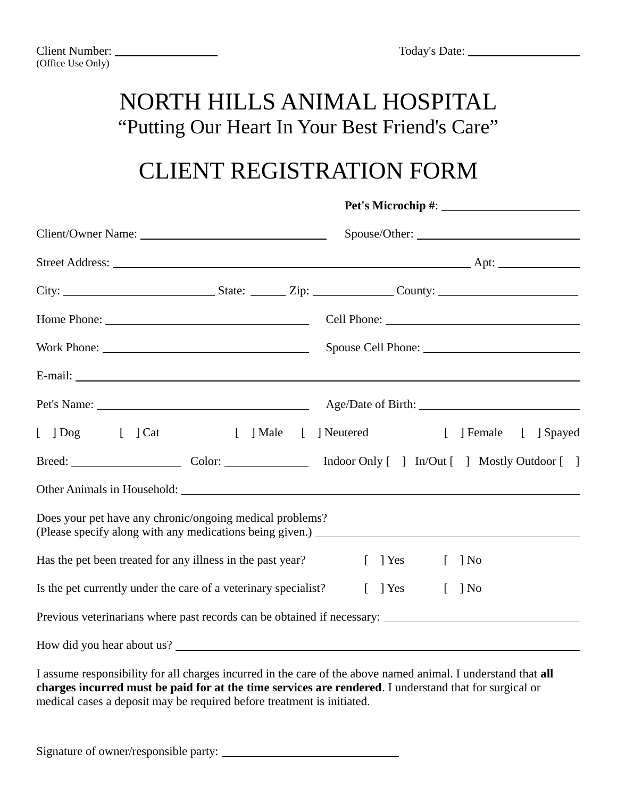**Pet's Microchip #**:

#### NORTH HILLS ANIMAL HOSPITAL "Putting Our Heart In Your Best Friend's Care"

## CLIENT REGISTRATION FORM

| [ ] Dog [ ] Cat [ ] Male [ ] Neutered                              | [ ] Female [ ] Spayed                         |  |  |  |
|--------------------------------------------------------------------|-----------------------------------------------|--|--|--|
|                                                                    |                                               |  |  |  |
|                                                                    |                                               |  |  |  |
| Does your pet have any chronic/ongoing medical problems?           |                                               |  |  |  |
| Has the pet been treated for any illness in the past year? [ ] Yes | $[$ ] No                                      |  |  |  |
| Is the pet currently under the care of a veterinary specialist?    | $\lceil \quad \rceil$ Yes<br>$\Box$<br>$\log$ |  |  |  |
|                                                                    |                                               |  |  |  |
|                                                                    |                                               |  |  |  |

I assume responsibility for all charges incurred in the care of the above named animal. I understand that **all charges incurred must be paid for at the time services are rendered**. I understand that for surgical or medical cases a deposit may be required before treatment is initiated.

Signature of owner/responsible party: